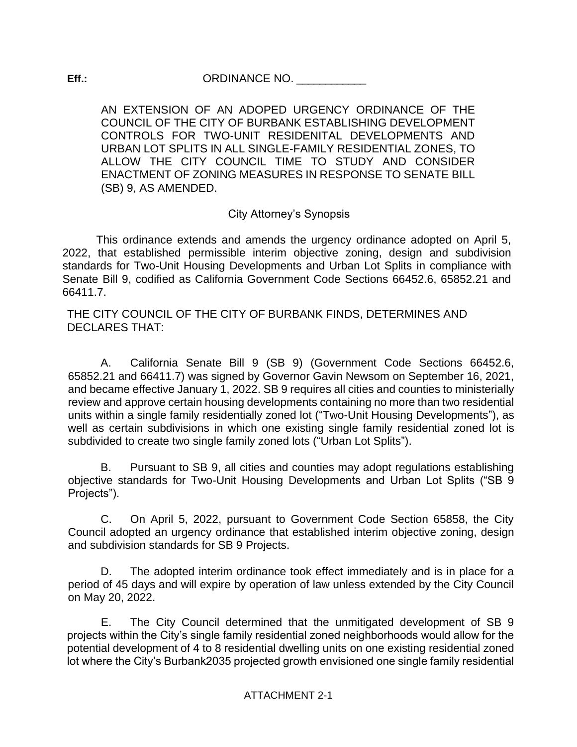AN EXTENSION OF AN ADOPED URGENCY ORDINANCE OF THE COUNCIL OF THE CITY OF BURBANK ESTABLISHING DEVELOPMENT CONTROLS FOR TWO-UNIT RESIDENITAL DEVELOPMENTS AND URBAN LOT SPLITS IN ALL SINGLE-FAMILY RESIDENTIAL ZONES, TO ALLOW THE CITY COUNCIL TIME TO STUDY AND CONSIDER ENACTMENT OF ZONING MEASURES IN RESPONSE TO SENATE BILL (SB) 9, AS AMENDED.

# City Attorney's Synopsis

This ordinance extends and amends the urgency ordinance adopted on April 5, 2022, that established permissible interim objective zoning, design and subdivision standards for Two-Unit Housing Developments and Urban Lot Splits in compliance with Senate Bill 9, codified as California Government Code Sections 66452.6, 65852.21 and 66411.7.

THE CITY COUNCIL OF THE CITY OF BURBANK FINDS, DETERMINES AND DECLARES THAT:

A. California Senate Bill 9 (SB 9) (Government Code Sections 66452.6, 65852.21 and 66411.7) was signed by Governor Gavin Newsom on September 16, 2021, and became effective January 1, 2022. SB 9 requires all cities and counties to ministerially review and approve certain housing developments containing no more than two residential units within a single family residentially zoned lot ("Two-Unit Housing Developments"), as well as certain subdivisions in which one existing single family residential zoned lot is subdivided to create two single family zoned lots ("Urban Lot Splits").

B. Pursuant to SB 9, all cities and counties may adopt regulations establishing objective standards for Two-Unit Housing Developments and Urban Lot Splits ("SB 9 Projects").

C. On April 5, 2022, pursuant to Government Code Section 65858, the City Council adopted an urgency ordinance that established interim objective zoning, design and subdivision standards for SB 9 Projects.

D. The adopted interim ordinance took effect immediately and is in place for a period of 45 days and will expire by operation of law unless extended by the City Council on May 20, 2022.

E. The City Council determined that the unmitigated development of SB 9 projects within the City's single family residential zoned neighborhoods would allow for the potential development of 4 to 8 residential dwelling units on one existing residential zoned lot where the City's Burbank2035 projected growth envisioned one single family residential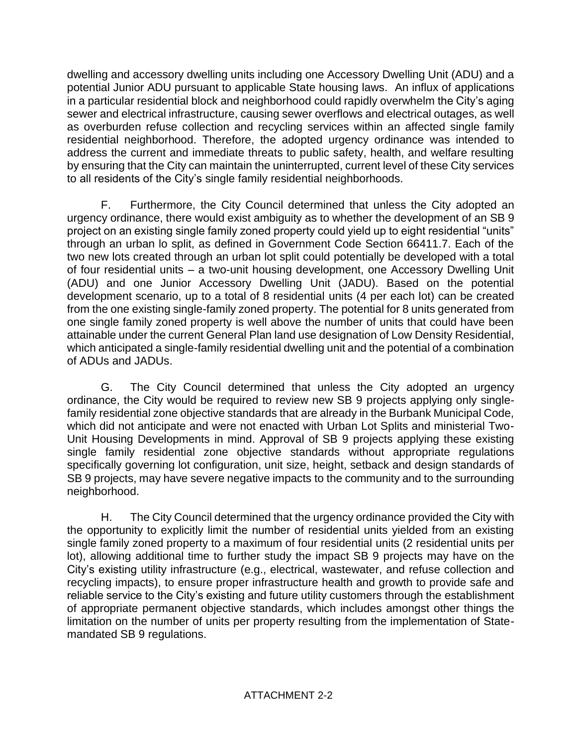dwelling and accessory dwelling units including one Accessory Dwelling Unit (ADU) and a potential Junior ADU pursuant to applicable State housing laws. An influx of applications in a particular residential block and neighborhood could rapidly overwhelm the City's aging sewer and electrical infrastructure, causing sewer overflows and electrical outages, as well as overburden refuse collection and recycling services within an affected single family residential neighborhood. Therefore, the adopted urgency ordinance was intended to address the current and immediate threats to public safety, health, and welfare resulting by ensuring that the City can maintain the uninterrupted, current level of these City services to all residents of the City's single family residential neighborhoods.

F. Furthermore, the City Council determined that unless the City adopted an urgency ordinance, there would exist ambiguity as to whether the development of an SB 9 project on an existing single family zoned property could yield up to eight residential "units" through an urban lo split, as defined in Government Code Section 66411.7. Each of the two new lots created through an urban lot split could potentially be developed with a total of four residential units – a two-unit housing development, one Accessory Dwelling Unit (ADU) and one Junior Accessory Dwelling Unit (JADU). Based on the potential development scenario, up to a total of 8 residential units (4 per each lot) can be created from the one existing single-family zoned property. The potential for 8 units generated from one single family zoned property is well above the number of units that could have been attainable under the current General Plan land use designation of Low Density Residential, which anticipated a single-family residential dwelling unit and the potential of a combination of ADUs and JADUs.

G. The City Council determined that unless the City adopted an urgency ordinance, the City would be required to review new SB 9 projects applying only singlefamily residential zone objective standards that are already in the Burbank Municipal Code, which did not anticipate and were not enacted with Urban Lot Splits and ministerial Two-Unit Housing Developments in mind. Approval of SB 9 projects applying these existing single family residential zone objective standards without appropriate regulations specifically governing lot configuration, unit size, height, setback and design standards of SB 9 projects, may have severe negative impacts to the community and to the surrounding neighborhood.

H. The City Council determined that the urgency ordinance provided the City with the opportunity to explicitly limit the number of residential units yielded from an existing single family zoned property to a maximum of four residential units (2 residential units per lot), allowing additional time to further study the impact SB 9 projects may have on the City's existing utility infrastructure (e.g., electrical, wastewater, and refuse collection and recycling impacts), to ensure proper infrastructure health and growth to provide safe and reliable service to the City's existing and future utility customers through the establishment of appropriate permanent objective standards, which includes amongst other things the limitation on the number of units per property resulting from the implementation of Statemandated SB 9 regulations.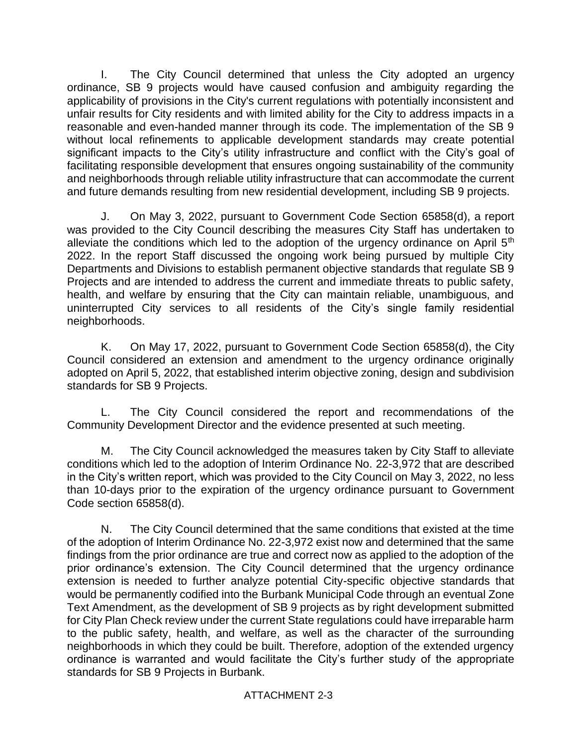I. The City Council determined that unless the City adopted an urgency ordinance, SB 9 projects would have caused confusion and ambiguity regarding the applicability of provisions in the City's current regulations with potentially inconsistent and unfair results for City residents and with limited ability for the City to address impacts in a reasonable and even-handed manner through its code. The implementation of the SB 9 without local refinements to applicable development standards may create potential significant impacts to the City's utility infrastructure and conflict with the City's goal of facilitating responsible development that ensures ongoing sustainability of the community and neighborhoods through reliable utility infrastructure that can accommodate the current and future demands resulting from new residential development, including SB 9 projects.

J. On May 3, 2022, pursuant to Government Code Section 65858(d), a report was provided to the City Council describing the measures City Staff has undertaken to alleviate the conditions which led to the adoption of the urgency ordinance on April  $5<sup>th</sup>$ 2022. In the report Staff discussed the ongoing work being pursued by multiple City Departments and Divisions to establish permanent objective standards that regulate SB 9 Projects and are intended to address the current and immediate threats to public safety, health, and welfare by ensuring that the City can maintain reliable, unambiguous, and uninterrupted City services to all residents of the City's single family residential neighborhoods.

K. On May 17, 2022, pursuant to Government Code Section 65858(d), the City Council considered an extension and amendment to the urgency ordinance originally adopted on April 5, 2022, that established interim objective zoning, design and subdivision standards for SB 9 Projects.

L. The City Council considered the report and recommendations of the Community Development Director and the evidence presented at such meeting.

M. The City Council acknowledged the measures taken by City Staff to alleviate conditions which led to the adoption of Interim Ordinance No. 22-3,972 that are described in the City's written report, which was provided to the City Council on May 3, 2022, no less than 10-days prior to the expiration of the urgency ordinance pursuant to Government Code section 65858(d).

N. The City Council determined that the same conditions that existed at the time of the adoption of Interim Ordinance No. 22-3,972 exist now and determined that the same findings from the prior ordinance are true and correct now as applied to the adoption of the prior ordinance's extension. The City Council determined that the urgency ordinance extension is needed to further analyze potential City-specific objective standards that would be permanently codified into the Burbank Municipal Code through an eventual Zone Text Amendment, as the development of SB 9 projects as by right development submitted for City Plan Check review under the current State regulations could have irreparable harm to the public safety, health, and welfare, as well as the character of the surrounding neighborhoods in which they could be built. Therefore, adoption of the extended urgency ordinance is warranted and would facilitate the City's further study of the appropriate standards for SB 9 Projects in Burbank.

#### ATTACHMENT 2-3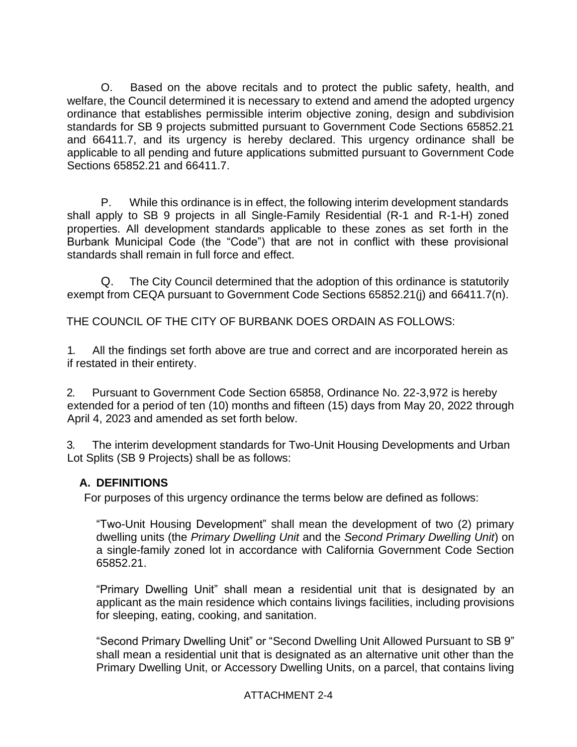O. Based on the above recitals and to protect the public safety, health, and welfare, the Council determined it is necessary to extend and amend the adopted urgency ordinance that establishes permissible interim objective zoning, design and subdivision standards for SB 9 projects submitted pursuant to Government Code Sections 65852.21 and 66411.7, and its urgency is hereby declared. This urgency ordinance shall be applicable to all pending and future applications submitted pursuant to Government Code Sections 65852.21 and 66411.7.

P. While this ordinance is in effect, the following interim development standards shall apply to SB 9 projects in all Single-Family Residential (R-1 and R-1-H) zoned properties. All development standards applicable to these zones as set forth in the Burbank Municipal Code (the "Code") that are not in conflict with these provisional standards shall remain in full force and effect.

Q. The City Council determined that the adoption of this ordinance is statutorily exempt from CEQA pursuant to Government Code Sections 65852.21(j) and 66411.7(n).

THE COUNCIL OF THE CITY OF BURBANK DOES ORDAIN AS FOLLOWS:

1. All the findings set forth above are true and correct and are incorporated herein as if restated in their entirety.

2. Pursuant to Government Code Section 65858, Ordinance No. 22-3,972 is hereby extended for a period of ten (10) months and fifteen (15) days from May 20, 2022 through April 4, 2023 and amended as set forth below.

3. The interim development standards for Two-Unit Housing Developments and Urban Lot Splits (SB 9 Projects) shall be as follows:

# **A. DEFINITIONS**

For purposes of this urgency ordinance the terms below are defined as follows:

"Two-Unit Housing Development" shall mean the development of two (2) primary dwelling units (the *Primary Dwelling Unit* and the *Second Primary Dwelling Unit*) on a single-family zoned lot in accordance with California Government Code Section 65852.21.

"Primary Dwelling Unit" shall mean a residential unit that is designated by an applicant as the main residence which contains livings facilities, including provisions for sleeping, eating, cooking, and sanitation.

"Second Primary Dwelling Unit" or "Second Dwelling Unit Allowed Pursuant to SB 9" shall mean a residential unit that is designated as an alternative unit other than the Primary Dwelling Unit, or Accessory Dwelling Units, on a parcel, that contains living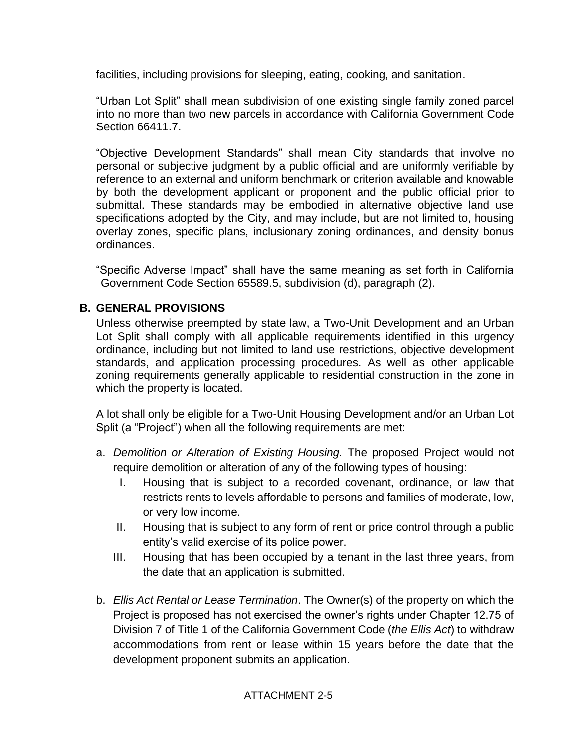facilities, including provisions for sleeping, eating, cooking, and sanitation.

"Urban Lot Split" shall mean subdivision of one existing single family zoned parcel into no more than two new parcels in accordance with California Government Code Section 66411.7.

"Objective Development Standards" shall mean City standards that involve no personal or subjective judgment by a public official and are uniformly verifiable by reference to an external and uniform benchmark or criterion available and knowable by both the development applicant or proponent and the public official prior to submittal. These standards may be embodied in alternative objective land use specifications adopted by the City, and may include, but are not limited to, housing overlay zones, specific plans, inclusionary zoning ordinances, and density bonus ordinances.

"Specific Adverse Impact" shall have the same meaning as set forth in California Government Code Section 65589.5, subdivision (d), paragraph (2).

# **B. GENERAL PROVISIONS**

Unless otherwise preempted by state law, a Two-Unit Development and an Urban Lot Split shall comply with all applicable requirements identified in this urgency ordinance, including but not limited to land use restrictions, objective development standards, and application processing procedures. As well as other applicable zoning requirements generally applicable to residential construction in the zone in which the property is located.

A lot shall only be eligible for a Two-Unit Housing Development and/or an Urban Lot Split (a "Project") when all the following requirements are met:

- a. *Demolition or Alteration of Existing Housing.* The proposed Project would not require demolition or alteration of any of the following types of housing:
	- I. Housing that is subject to a recorded covenant, ordinance, or law that restricts rents to levels affordable to persons and families of moderate, low, or very low income.
	- II. Housing that is subject to any form of rent or price control through a public entity's valid exercise of its police power.
	- III. Housing that has been occupied by a tenant in the last three years, from the date that an application is submitted.
- b. *Ellis Act Rental or Lease Termination*. The Owner(s) of the property on which the Project is proposed has not exercised the owner's rights under Chapter 12.75 of Division 7 of Title 1 of the California Government Code (*the Ellis Act*) to withdraw accommodations from rent or lease within 15 years before the date that the development proponent submits an application.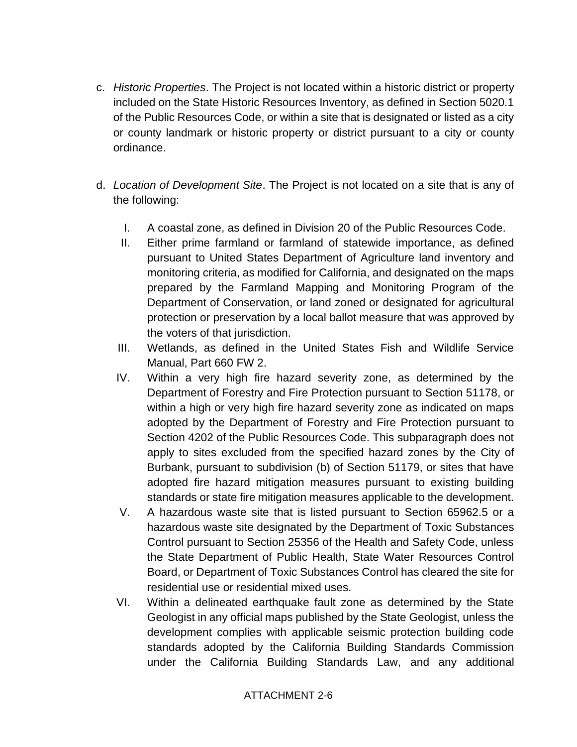- c. *Historic Properties*. The Project is not located within a historic district or property included on the State Historic Resources Inventory, as defined in Section 5020.1 of the Public Resources Code, or within a site that is designated or listed as a city or county landmark or historic property or district pursuant to a city or county ordinance.
- d. *Location of Development Site*. The Project is not located on a site that is any of the following:
	- I. A coastal zone, as defined in Division 20 of the Public Resources Code.
	- II. Either prime farmland or farmland of statewide importance, as defined pursuant to United States Department of Agriculture land inventory and monitoring criteria, as modified for California, and designated on the maps prepared by the Farmland Mapping and Monitoring Program of the Department of Conservation, or land zoned or designated for agricultural protection or preservation by a local ballot measure that was approved by the voters of that jurisdiction.
	- III. Wetlands, as defined in the United States Fish and Wildlife Service Manual, Part 660 FW 2.
	- IV. Within a very high fire hazard severity zone, as determined by the Department of Forestry and Fire Protection pursuant to Section 51178, or within a high or very high fire hazard severity zone as indicated on maps adopted by the Department of Forestry and Fire Protection pursuant to Section 4202 of the Public Resources Code. This subparagraph does not apply to sites excluded from the specified hazard zones by the City of Burbank, pursuant to subdivision (b) of Section 51179, or sites that have adopted fire hazard mitigation measures pursuant to existing building standards or state fire mitigation measures applicable to the development.
	- V. A hazardous waste site that is listed pursuant to Section 65962.5 or a hazardous waste site designated by the Department of Toxic Substances Control pursuant to Section 25356 of the Health and Safety Code, unless the State Department of Public Health, State Water Resources Control Board, or Department of Toxic Substances Control has cleared the site for residential use or residential mixed uses.
	- VI. Within a delineated earthquake fault zone as determined by the State Geologist in any official maps published by the State Geologist, unless the development complies with applicable seismic protection building code standards adopted by the California Building Standards Commission under the California Building Standards Law, and any additional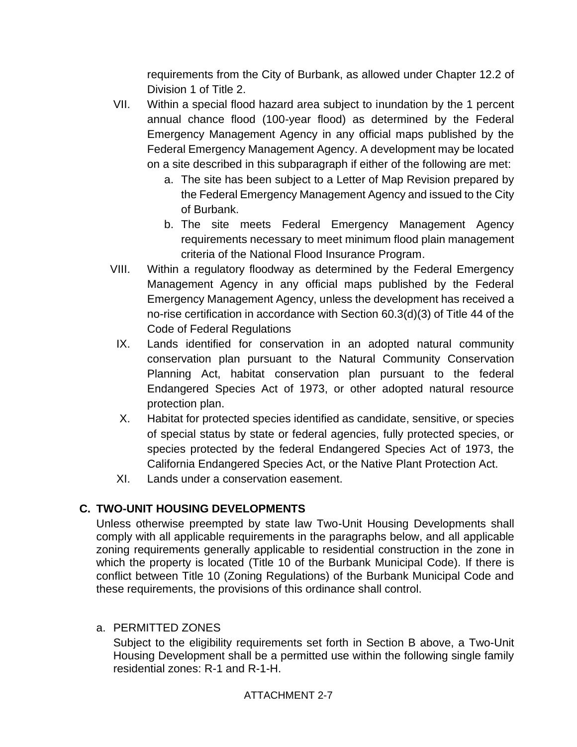requirements from the City of Burbank, as allowed under Chapter 12.2 of Division 1 of Title 2.

- VII. Within a special flood hazard area subject to inundation by the 1 percent annual chance flood (100-year flood) as determined by the Federal Emergency Management Agency in any official maps published by the Federal Emergency Management Agency. A development may be located on a site described in this subparagraph if either of the following are met:
	- a. The site has been subject to a Letter of Map Revision prepared by the Federal Emergency Management Agency and issued to the City of Burbank.
	- b. The site meets Federal Emergency Management Agency requirements necessary to meet minimum flood plain management criteria of the National Flood Insurance Program.
- VIII. Within a regulatory floodway as determined by the Federal Emergency Management Agency in any official maps published by the Federal Emergency Management Agency, unless the development has received a no-rise certification in accordance with Section 60.3(d)(3) of Title 44 of the Code of Federal Regulations
	- IX. Lands identified for conservation in an adopted natural community conservation plan pursuant to the Natural Community Conservation Planning Act, habitat conservation plan pursuant to the federal Endangered Species Act of 1973, or other adopted natural resource protection plan.
	- X. Habitat for protected species identified as candidate, sensitive, or species of special status by state or federal agencies, fully protected species, or species protected by the federal Endangered Species Act of 1973, the California Endangered Species Act, or the Native Plant Protection Act.
	- XI. Lands under a conservation easement.

# **C. TWO-UNIT HOUSING DEVELOPMENTS**

Unless otherwise preempted by state law Two-Unit Housing Developments shall comply with all applicable requirements in the paragraphs below, and all applicable zoning requirements generally applicable to residential construction in the zone in which the property is located (Title 10 of the Burbank Municipal Code). If there is conflict between Title 10 (Zoning Regulations) of the Burbank Municipal Code and these requirements, the provisions of this ordinance shall control.

# a. PERMITTED ZONES

Subject to the eligibility requirements set forth in Section B above, a Two-Unit Housing Development shall be a permitted use within the following single family residential zones: R-1 and R-1-H.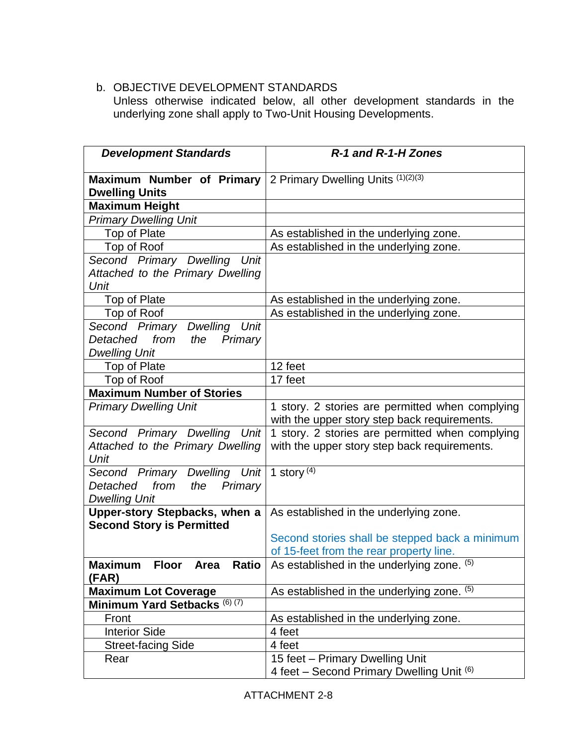# b. OBJECTIVE DEVELOPMENT STANDARDS

Unless otherwise indicated below, all other development standards in the underlying zone shall apply to Two-Unit Housing Developments.

| <b>Development Standards</b>                                                                            | R-1 and R-1-H Zones                                                                                                                 |
|---------------------------------------------------------------------------------------------------------|-------------------------------------------------------------------------------------------------------------------------------------|
| Maximum Number of Primary<br><b>Dwelling Units</b>                                                      | 2 Primary Dwelling Units (1)(2)(3)                                                                                                  |
| Maximum Height                                                                                          |                                                                                                                                     |
| <b>Primary Dwelling Unit</b>                                                                            |                                                                                                                                     |
| Top of Plate                                                                                            | As established in the underlying zone.                                                                                              |
| Top of Roof                                                                                             | As established in the underlying zone.                                                                                              |
| Second Primary Dwelling<br>Unit<br>Attached to the Primary Dwelling                                     |                                                                                                                                     |
| Unit                                                                                                    |                                                                                                                                     |
| Top of Plate                                                                                            | As established in the underlying zone.                                                                                              |
| Top of Roof                                                                                             | As established in the underlying zone.                                                                                              |
| Second Primary<br><b>Dwelling</b><br>Unit<br>Detached<br>from<br>Primary<br>the<br><b>Dwelling Unit</b> |                                                                                                                                     |
| Top of Plate                                                                                            | 12 feet                                                                                                                             |
| Top of Roof                                                                                             | 17 feet                                                                                                                             |
| <b>Maximum Number of Stories</b>                                                                        |                                                                                                                                     |
| <b>Primary Dwelling Unit</b>                                                                            | 1 story. 2 stories are permitted when complying<br>with the upper story step back requirements.                                     |
| Second Primary Dwelling<br>Unit<br>Attached to the Primary Dwelling<br>Unit                             | 1 story. 2 stories are permitted when complying<br>with the upper story step back requirements.                                     |
| Dwelling Unit<br>Second Primary<br>Detached<br>from<br>Primary<br>the<br><b>Dwelling Unit</b>           | 1 story $(4)$                                                                                                                       |
| Upper-story Stepbacks, when a<br><b>Second Story is Permitted</b>                                       | As established in the underlying zone.<br>Second stories shall be stepped back a minimum<br>of 15-feet from the rear property line. |
| <b>Maximum</b><br><b>Floor</b><br>Ratio<br>Area<br>(FAR)                                                | As established in the underlying zone. (5)                                                                                          |
| <b>Maximum Lot Coverage</b>                                                                             | As established in the underlying zone. (5)                                                                                          |
| Minimum Yard Setbacks (6) (7)                                                                           |                                                                                                                                     |
| Front                                                                                                   | As established in the underlying zone.                                                                                              |
| <b>Interior Side</b>                                                                                    | 4 feet                                                                                                                              |
| <b>Street-facing Side</b>                                                                               | 4 feet                                                                                                                              |
| Rear                                                                                                    | 15 feet - Primary Dwelling Unit<br>4 feet - Second Primary Dwelling Unit (6)                                                        |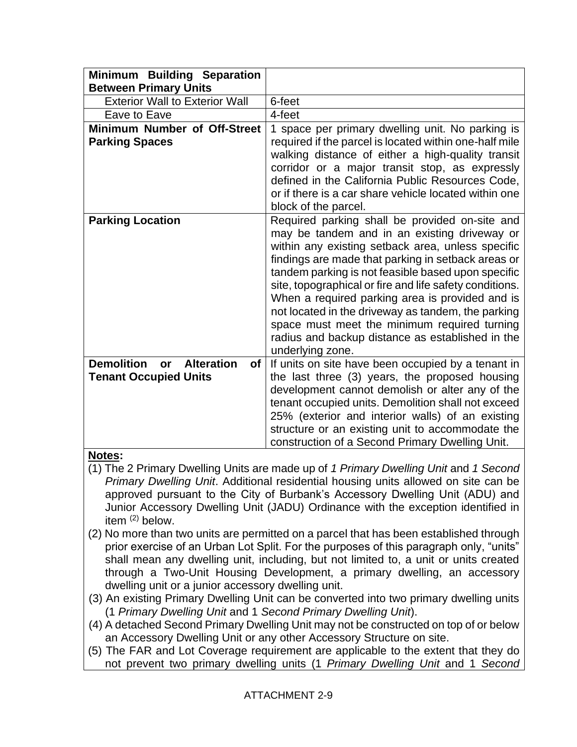| Minimum Building Separation<br><b>Between Primary Units</b>                                 |                                                                                                                                                                                                                                                                                                                                                                                                                                                                                                                                                             |
|---------------------------------------------------------------------------------------------|-------------------------------------------------------------------------------------------------------------------------------------------------------------------------------------------------------------------------------------------------------------------------------------------------------------------------------------------------------------------------------------------------------------------------------------------------------------------------------------------------------------------------------------------------------------|
| <b>Exterior Wall to Exterior Wall</b>                                                       | 6-feet                                                                                                                                                                                                                                                                                                                                                                                                                                                                                                                                                      |
| Eave to Eave                                                                                | 4-feet                                                                                                                                                                                                                                                                                                                                                                                                                                                                                                                                                      |
| Minimum Number of Off-Street<br><b>Parking Spaces</b>                                       | 1 space per primary dwelling unit. No parking is<br>required if the parcel is located within one-half mile<br>walking distance of either a high-quality transit<br>corridor or a major transit stop, as expressly<br>defined in the California Public Resources Code,<br>or if there is a car share vehicle located within one<br>block of the parcel.                                                                                                                                                                                                      |
| <b>Parking Location</b>                                                                     | Required parking shall be provided on-site and<br>may be tandem and in an existing driveway or<br>within any existing setback area, unless specific<br>findings are made that parking in setback areas or<br>tandem parking is not feasible based upon specific<br>site, topographical or fire and life safety conditions.<br>When a required parking area is provided and is<br>not located in the driveway as tandem, the parking<br>space must meet the minimum required turning<br>radius and backup distance as established in the<br>underlying zone. |
| <b>Demolition</b><br><b>Alteration</b><br>of I<br><b>or</b><br><b>Tenant Occupied Units</b> | If units on site have been occupied by a tenant in<br>the last three (3) years, the proposed housing<br>development cannot demolish or alter any of the<br>tenant occupied units. Demolition shall not exceed<br>25% (exterior and interior walls) of an existing<br>structure or an existing unit to accommodate the<br>construction of a Second Primary Dwelling Unit.                                                                                                                                                                                    |

# **Notes:**

- (1) The 2 Primary Dwelling Units are made up of *1 Primary Dwelling Unit* and *1 Second Primary Dwelling Unit*. Additional residential housing units allowed on site can be approved pursuant to the City of Burbank's Accessory Dwelling Unit (ADU) and Junior Accessory Dwelling Unit (JADU) Ordinance with the exception identified in item (2) below.
- (2) No more than two units are permitted on a parcel that has been established through prior exercise of an Urban Lot Split. For the purposes of this paragraph only, "units" shall mean any dwelling unit, including, but not limited to, a unit or units created through a Two-Unit Housing Development, a primary dwelling, an accessory dwelling unit or a junior accessory dwelling unit.
- (3) An existing Primary Dwelling Unit can be converted into two primary dwelling units (1 *Primary Dwelling Unit* and 1 *Second Primary Dwelling Unit*).
- (4) A detached Second Primary Dwelling Unit may not be constructed on top of or below an Accessory Dwelling Unit or any other Accessory Structure on site.
- (5) The FAR and Lot Coverage requirement are applicable to the extent that they do not prevent two primary dwelling units (1 *Primary Dwelling Unit* and 1 *Second*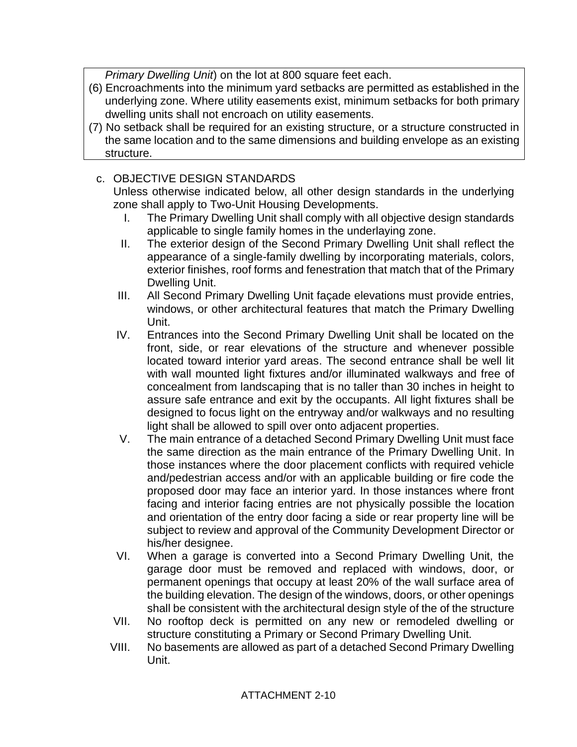*Primary Dwelling Unit*) on the lot at 800 square feet each.

- (6) Encroachments into the minimum yard setbacks are permitted as established in the underlying zone. Where utility easements exist, minimum setbacks for both primary dwelling units shall not encroach on utility easements.
- (7) No setback shall be required for an existing structure, or a structure constructed in the same location and to the same dimensions and building envelope as an existing structure.

# c. OBJECTIVE DESIGN STANDARDS

Unless otherwise indicated below, all other design standards in the underlying zone shall apply to Two-Unit Housing Developments.

- I. The Primary Dwelling Unit shall comply with all objective design standards applicable to single family homes in the underlaying zone.
- II. The exterior design of the Second Primary Dwelling Unit shall reflect the appearance of a single-family dwelling by incorporating materials, colors, exterior finishes, roof forms and fenestration that match that of the Primary Dwelling Unit.
- III. All Second Primary Dwelling Unit façade elevations must provide entries, windows, or other architectural features that match the Primary Dwelling Unit.
- IV. Entrances into the Second Primary Dwelling Unit shall be located on the front, side, or rear elevations of the structure and whenever possible located toward interior yard areas. The second entrance shall be well lit with wall mounted light fixtures and/or illuminated walkways and free of concealment from landscaping that is no taller than 30 inches in height to assure safe entrance and exit by the occupants. All light fixtures shall be designed to focus light on the entryway and/or walkways and no resulting light shall be allowed to spill over onto adjacent properties.
- V. The main entrance of a detached Second Primary Dwelling Unit must face the same direction as the main entrance of the Primary Dwelling Unit. In those instances where the door placement conflicts with required vehicle and/pedestrian access and/or with an applicable building or fire code the proposed door may face an interior yard. In those instances where front facing and interior facing entries are not physically possible the location and orientation of the entry door facing a side or rear property line will be subject to review and approval of the Community Development Director or his/her designee.
- VI. When a garage is converted into a Second Primary Dwelling Unit, the garage door must be removed and replaced with windows, door, or permanent openings that occupy at least 20% of the wall surface area of the building elevation. The design of the windows, doors, or other openings shall be consistent with the architectural design style of the of the structure
- VII. No rooftop deck is permitted on any new or remodeled dwelling or structure constituting a Primary or Second Primary Dwelling Unit.
- VIII. No basements are allowed as part of a detached Second Primary Dwelling Unit.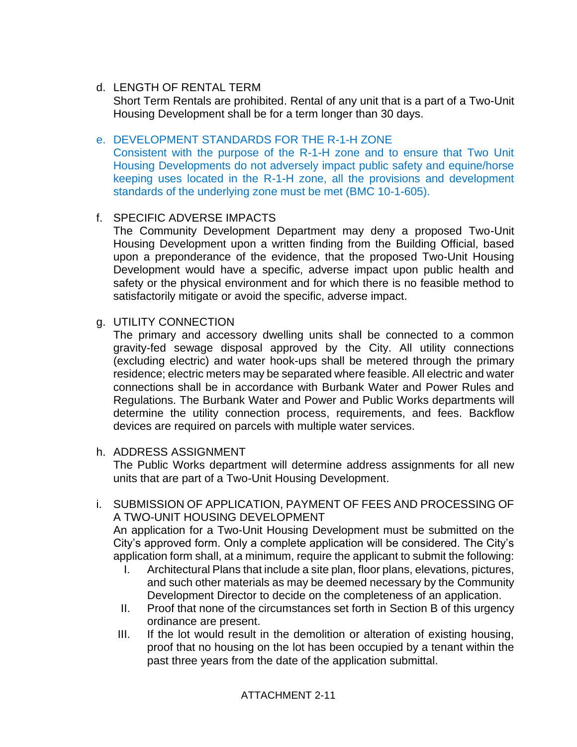## d. LENGTH OF RENTAL TERM

Short Term Rentals are prohibited. Rental of any unit that is a part of a Two-Unit Housing Development shall be for a term longer than 30 days.

### e. DEVELOPMENT STANDARDS FOR THE R-1-H ZONE

Consistent with the purpose of the R-1-H zone and to ensure that Two Unit Housing Developments do not adversely impact public safety and equine/horse keeping uses located in the R-1-H zone, all the provisions and development standards of the underlying zone must be met (BMC 10-1-605).

### f. SPECIFIC ADVERSE IMPACTS

The Community Development Department may deny a proposed Two-Unit Housing Development upon a written finding from the Building Official, based upon a preponderance of the evidence, that the proposed Two-Unit Housing Development would have a specific, adverse impact upon public health and safety or the physical environment and for which there is no feasible method to satisfactorily mitigate or avoid the specific, adverse impact.

### g. UTILITY CONNECTION

The primary and accessory dwelling units shall be connected to a common gravity-fed sewage disposal approved by the City. All utility connections (excluding electric) and water hook-ups shall be metered through the primary residence; electric meters may be separated where feasible. All electric and water connections shall be in accordance with Burbank Water and Power Rules and Regulations. The Burbank Water and Power and Public Works departments will determine the utility connection process, requirements, and fees. Backflow devices are required on parcels with multiple water services.

#### h. ADDRESS ASSIGNMENT

The Public Works department will determine address assignments for all new units that are part of a Two-Unit Housing Development.

### i. SUBMISSION OF APPLICATION, PAYMENT OF FEES AND PROCESSING OF A TWO-UNIT HOUSING DEVELOPMENT

An application for a Two-Unit Housing Development must be submitted on the City's approved form. Only a complete application will be considered. The City's application form shall, at a minimum, require the applicant to submit the following:

- I. Architectural Plans that include a site plan, floor plans, elevations, pictures, and such other materials as may be deemed necessary by the Community Development Director to decide on the completeness of an application.
- II. Proof that none of the circumstances set forth in Section B of this urgency ordinance are present.
- III. If the lot would result in the demolition or alteration of existing housing, proof that no housing on the lot has been occupied by a tenant within the past three years from the date of the application submittal.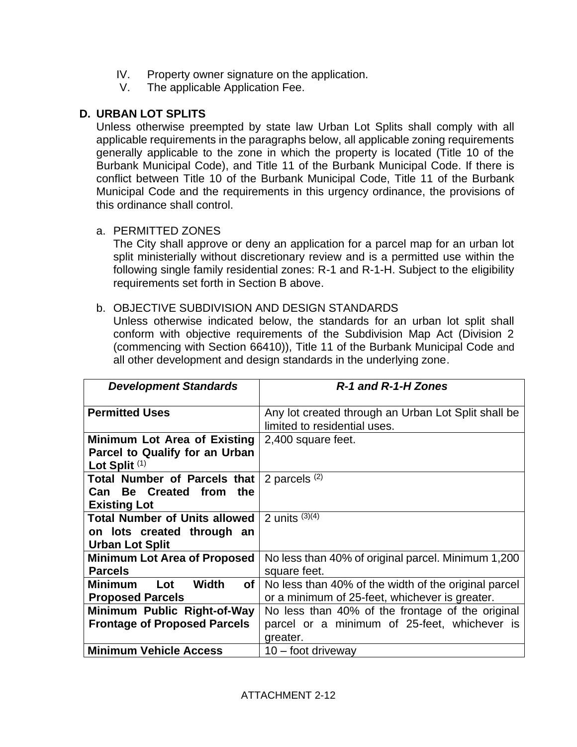- IV. Property owner signature on the application.
- V. The applicable Application Fee.

### **D. URBAN LOT SPLITS**

Unless otherwise preempted by state law Urban Lot Splits shall comply with all applicable requirements in the paragraphs below, all applicable zoning requirements generally applicable to the zone in which the property is located (Title 10 of the Burbank Municipal Code), and Title 11 of the Burbank Municipal Code. If there is conflict between Title 10 of the Burbank Municipal Code, Title 11 of the Burbank Municipal Code and the requirements in this urgency ordinance, the provisions of this ordinance shall control.

### a. PERMITTED ZONES

The City shall approve or deny an application for a parcel map for an urban lot split ministerially without discretionary review and is a permitted use within the following single family residential zones: R-1 and R-1-H. Subject to the eligibility requirements set forth in Section B above.

#### b. OBJECTIVE SUBDIVISION AND DESIGN STANDARDS

Unless otherwise indicated below, the standards for an urban lot split shall conform with objective requirements of the Subdivision Map Act (Division 2 (commencing with Section 66410)), Title 11 of the Burbank Municipal Code and all other development and design standards in the underlying zone.

| <b>Development Standards</b>                                                                 | R-1 and R-1-H Zones                                                                                          |
|----------------------------------------------------------------------------------------------|--------------------------------------------------------------------------------------------------------------|
| <b>Permitted Uses</b>                                                                        | Any lot created through an Urban Lot Split shall be<br>limited to residential uses.                          |
| Minimum Lot Area of Existing<br>Parcel to Qualify for an Urban<br>Lot Split <sup>(1)</sup>   | 2,400 square feet.                                                                                           |
| Total Number of Parcels that  <br>Can Be Created from<br>the<br><b>Existing Lot</b>          | 2 parcels $(2)$                                                                                              |
| <b>Total Number of Units allowed</b><br>on lots created through an<br><b>Urban Lot Split</b> | 2 units $(3)(4)$                                                                                             |
| <b>Minimum Lot Area of Proposed</b><br><b>Parcels</b>                                        | No less than 40% of original parcel. Minimum 1,200<br>square feet.                                           |
| <b>Minimum</b><br><b>Width</b><br>Lot<br>of<br><b>Proposed Parcels</b>                       | No less than 40% of the width of the original parcel<br>or a minimum of 25-feet, whichever is greater.       |
| Minimum Public Right-of-Way<br><b>Frontage of Proposed Parcels</b>                           | No less than 40% of the frontage of the original<br>parcel or a minimum of 25-feet, whichever is<br>greater. |
| <b>Minimum Vehicle Access</b>                                                                | $10 -$ foot driveway                                                                                         |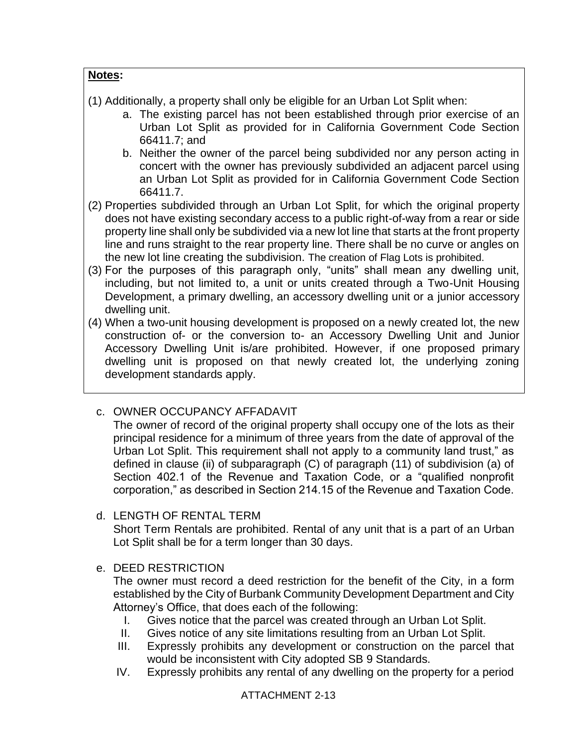## **Notes:**

- (1) Additionally, a property shall only be eligible for an Urban Lot Split when:
	- a. The existing parcel has not been established through prior exercise of an Urban Lot Split as provided for in California Government Code Section 66411.7; and
	- b. Neither the owner of the parcel being subdivided nor any person acting in concert with the owner has previously subdivided an adjacent parcel using an Urban Lot Split as provided for in California Government Code Section 66411.7.
- (2) Properties subdivided through an Urban Lot Split, for which the original property does not have existing secondary access to a public right-of-way from a rear or side property line shall only be subdivided via a new lot line that starts at the front property line and runs straight to the rear property line. There shall be no curve or angles on the new lot line creating the subdivision. The creation of Flag Lots is prohibited.
- (3) For the purposes of this paragraph only, "units" shall mean any dwelling unit, including, but not limited to, a unit or units created through a Two-Unit Housing Development, a primary dwelling, an accessory dwelling unit or a junior accessory dwelling unit.
- (4) When a two-unit housing development is proposed on a newly created lot, the new construction of- or the conversion to- an Accessory Dwelling Unit and Junior Accessory Dwelling Unit is/are prohibited. However, if one proposed primary dwelling unit is proposed on that newly created lot, the underlying zoning development standards apply.

# c. OWNER OCCUPANCY AFFADAVIT

The owner of record of the original property shall occupy one of the lots as their principal residence for a minimum of three years from the date of approval of the Urban Lot Split. This requirement shall not apply to a community land trust," as defined in clause (ii) of subparagraph (C) of paragraph (11) of subdivision (a) of Section 402.1 of the Revenue and Taxation Code, or a "qualified nonprofit corporation," as described in Section 214.15 of the Revenue and Taxation Code.

d. LENGTH OF RENTAL TERM

Short Term Rentals are prohibited. Rental of any unit that is a part of an Urban Lot Split shall be for a term longer than 30 days.

e. DEED RESTRICTION

The owner must record a deed restriction for the benefit of the City, in a form established by the City of Burbank Community Development Department and City Attorney's Office, that does each of the following:

- I. Gives notice that the parcel was created through an Urban Lot Split.
- II. Gives notice of any site limitations resulting from an Urban Lot Split.
- III. Expressly prohibits any development or construction on the parcel that would be inconsistent with City adopted SB 9 Standards.
- IV. Expressly prohibits any rental of any dwelling on the property for a period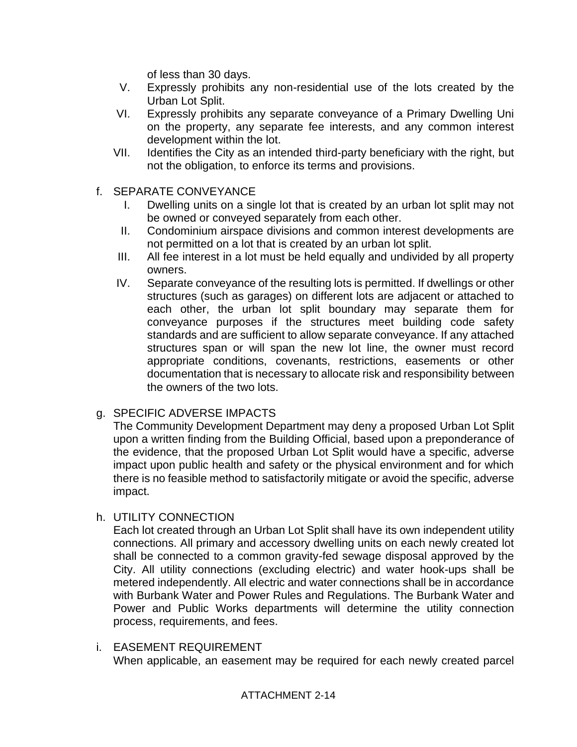of less than 30 days.

- V. Expressly prohibits any non-residential use of the lots created by the Urban Lot Split.
- VI. Expressly prohibits any separate conveyance of a Primary Dwelling Uni on the property, any separate fee interests, and any common interest development within the lot.
- VII. Identifies the City as an intended third-party beneficiary with the right, but not the obligation, to enforce its terms and provisions.
- f. SEPARATE CONVEYANCE
	- I. Dwelling units on a single lot that is created by an urban lot split may not be owned or conveyed separately from each other.
	- II. Condominium airspace divisions and common interest developments are not permitted on a lot that is created by an urban lot split.
	- III. All fee interest in a lot must be held equally and undivided by all property owners.
	- IV. Separate conveyance of the resulting lots is permitted. If dwellings or other structures (such as garages) on different lots are adjacent or attached to each other, the urban lot split boundary may separate them for conveyance purposes if the structures meet building code safety standards and are sufficient to allow separate conveyance. If any attached structures span or will span the new lot line, the owner must record appropriate conditions, covenants, restrictions, easements or other documentation that is necessary to allocate risk and responsibility between the owners of the two lots.

# g. SPECIFIC ADVERSE IMPACTS

The Community Development Department may deny a proposed Urban Lot Split upon a written finding from the Building Official, based upon a preponderance of the evidence, that the proposed Urban Lot Split would have a specific, adverse impact upon public health and safety or the physical environment and for which there is no feasible method to satisfactorily mitigate or avoid the specific, adverse impact.

h. UTILITY CONNECTION

Each lot created through an Urban Lot Split shall have its own independent utility connections. All primary and accessory dwelling units on each newly created lot shall be connected to a common gravity-fed sewage disposal approved by the City. All utility connections (excluding electric) and water hook-ups shall be metered independently. All electric and water connections shall be in accordance with Burbank Water and Power Rules and Regulations. The Burbank Water and Power and Public Works departments will determine the utility connection process, requirements, and fees.

i. EASEMENT REQUIREMENT When applicable, an easement may be required for each newly created parcel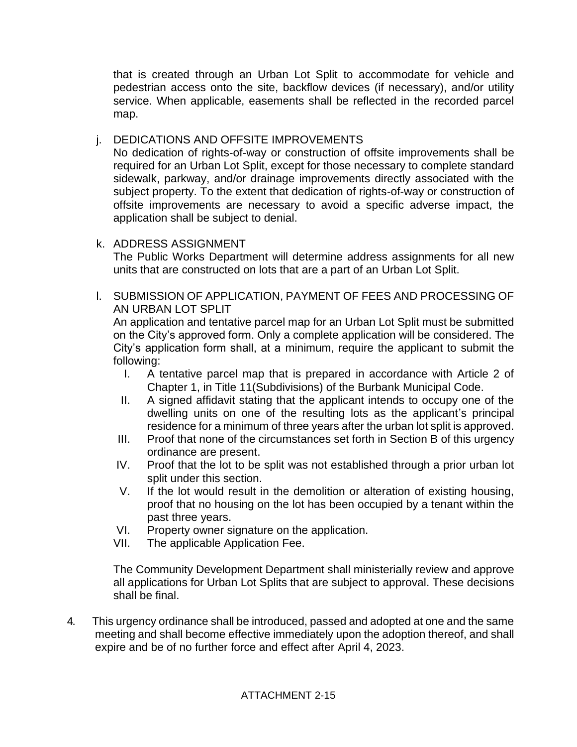that is created through an Urban Lot Split to accommodate for vehicle and pedestrian access onto the site, backflow devices (if necessary), and/or utility service. When applicable, easements shall be reflected in the recorded parcel map.

# j. DEDICATIONS AND OFFSITE IMPROVEMENTS

No dedication of rights-of-way or construction of offsite improvements shall be required for an Urban Lot Split, except for those necessary to complete standard sidewalk, parkway, and/or drainage improvements directly associated with the subject property. To the extent that dedication of rights-of-way or construction of offsite improvements are necessary to avoid a specific adverse impact, the application shall be subject to denial.

# k. ADDRESS ASSIGNMENT

The Public Works Department will determine address assignments for all new units that are constructed on lots that are a part of an Urban Lot Split.

l. SUBMISSION OF APPLICATION, PAYMENT OF FEES AND PROCESSING OF AN URBAN LOT SPLIT

An application and tentative parcel map for an Urban Lot Split must be submitted on the City's approved form. Only a complete application will be considered. The City's application form shall, at a minimum, require the applicant to submit the following:

- I. A tentative parcel map that is prepared in accordance with Article 2 of Chapter 1, in Title 11(Subdivisions) of the Burbank Municipal Code.
- II. A signed affidavit stating that the applicant intends to occupy one of the dwelling units on one of the resulting lots as the applicant's principal residence for a minimum of three years after the urban lot split is approved.
- III. Proof that none of the circumstances set forth in Section B of this urgency ordinance are present.
- IV. Proof that the lot to be split was not established through a prior urban lot split under this section.
- V. If the lot would result in the demolition or alteration of existing housing, proof that no housing on the lot has been occupied by a tenant within the past three years.
- VI. Property owner signature on the application.
- VII. The applicable Application Fee.

The Community Development Department shall ministerially review and approve all applications for Urban Lot Splits that are subject to approval. These decisions shall be final.

4. This urgency ordinance shall be introduced, passed and adopted at one and the same meeting and shall become effective immediately upon the adoption thereof, and shall expire and be of no further force and effect after April 4, 2023.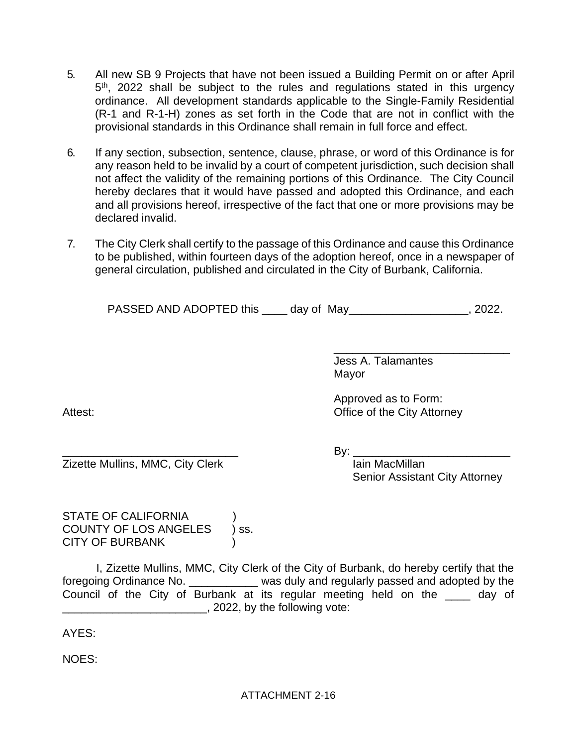- 5. All new SB 9 Projects that have not been issued a Building Permit on or after April 5<sup>th</sup>, 2022 shall be subject to the rules and regulations stated in this urgency ordinance. All development standards applicable to the Single-Family Residential (R-1 and R-1-H) zones as set forth in the Code that are not in conflict with the provisional standards in this Ordinance shall remain in full force and effect.
- 6. If any section, subsection, sentence, clause, phrase, or word of this Ordinance is for any reason held to be invalid by a court of competent jurisdiction, such decision shall not affect the validity of the remaining portions of this Ordinance. The City Council hereby declares that it would have passed and adopted this Ordinance, and each and all provisions hereof, irrespective of the fact that one or more provisions may be declared invalid.
- 7. The City Clerk shall certify to the passage of this Ordinance and cause this Ordinance to be published, within fourteen days of the adoption hereof, once in a newspaper of general circulation, published and circulated in the City of Burbank, California.

PASSED AND ADOPTED this \_\_\_\_\_ day of May\_\_\_\_\_\_\_\_\_\_\_\_\_\_\_\_\_\_\_, 2022.

Jess A. Talamantes Mayor

Approved as to Form: Attest: **Office of the City Attorney** 

 $\mathsf{By:}$ 

Zizette Mullins, MMC, City Clerk International MacMillan Senior Assistant City Attorney

\_\_\_\_\_\_\_\_\_\_\_\_\_\_\_\_\_\_\_\_\_\_\_\_\_\_\_\_

STATE OF CALIFORNIA COUNTY OF LOS ANGELES ) ss. CITY OF BURBANK

I, Zizette Mullins, MMC, City Clerk of the City of Burbank, do hereby certify that the foregoing Ordinance No. \_\_\_\_\_\_\_\_\_\_\_ was duly and regularly passed and adopted by the Council of the City of Burbank at its regular meeting held on the \_\_\_\_ day of \_\_\_\_\_\_\_\_\_\_\_\_\_\_\_\_\_\_\_\_\_\_\_, 2022, by the following vote:

AYES:

NOES: